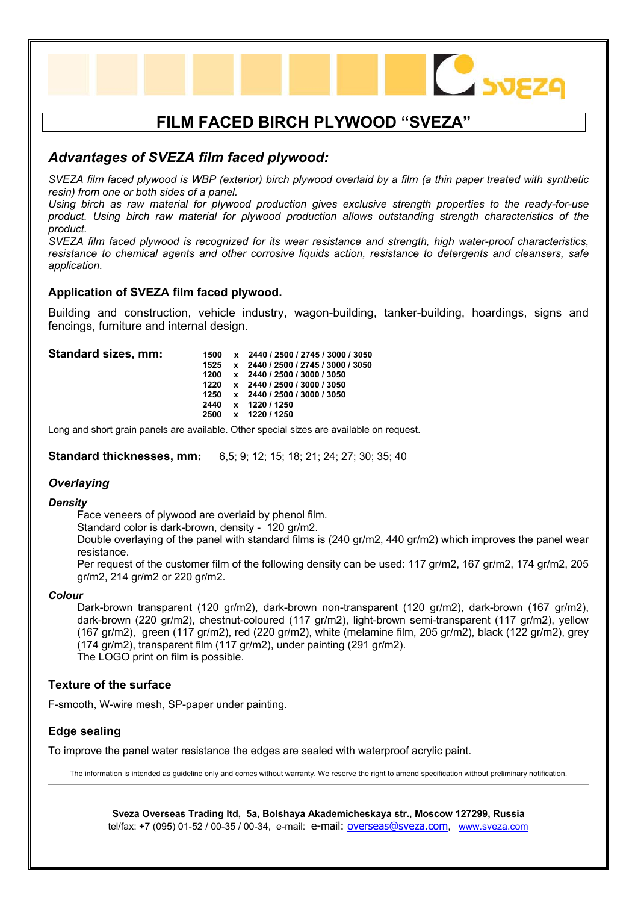

# *Advantages of SVEZA film faced plywood:*

*SVEZA film faced plywood is WBP (exterior) birch plywood overlaid by a film (a thin paper treated with synthetic resin) from one or both sides of a panel.* 

*Using birch as raw material for plywood production gives exclusive strength properties to the ready-for-use product. Using birch raw material for plywood production allows outstanding strength characteristics of the product.* 

*SVEZA film faced plywood is recognized for its wear resistance and strength, high water-proof characteristics, resistance to chemical agents and other corrosive liquids action, resistance to detergents and cleansers, safe application.* 

# **Application of SVEZA film faced plywood.**

Building and construction, vehicle industry, wagon-building, tanker-building, hoardings, signs and fencings, furniture and internal design.

| Standard sizes, mm: |      | 1500 x 2440 / 2500 / 2745 / 3000 / 3050 |
|---------------------|------|-----------------------------------------|
|                     |      | 1525 x 2440 / 2500 / 2745 / 3000 / 3050 |
|                     | 1200 | x 2440 / 2500 / 3000 / 3050             |
|                     | 1220 | x 2440 / 2500 / 3000 / 3050             |
|                     | 1250 | x 2440 / 2500 / 3000 / 3050             |
|                     | 2440 | x 1220 / 1250                           |
|                     | 2500 | x 1220 / 1250                           |
|                     |      |                                         |

Long and short grain panels are available. Other special sizes are available on request.

**Standard thicknesses, mm:** 6,5; 9; 12; 15; 18; 21; 24; 27; 30; 35; 40

# *Overlaying*

#### *Density*

Face veneers of plywood are overlaid by phenol film.

Standard color is dark-brown, density - 120 gr/m2.

Double overlaying of the panel with standard films is (240 gr/m2, 440 gr/m2) which improves the panel wear resistance.

Per request of the customer film of the following density can be used: 117 gr/m2, 167 gr/m2, 174 gr/m2, 205 gr/m2, 214 gr/m2 or 220 gr/m2.

#### *Colour*

Dark-brown transparent (120 gr/m2), dark-brown non-transparent (120 gr/m2), dark-brown (167 gr/m2), dark-brown (220 gr/m2), chestnut-coloured (117 gr/m2), light-brown semi-transparent (117 gr/m2), yellow (167 gr/m2), green (117 gr/m2), red (220 gr/m2), white (melamine film, 205 gr/m2), black (122 gr/m2), grey (174 gr/m2), transparent film (117 gr/m2), under painting (291 gr/m2). The LOGO print on film is possible.

# **Texture of the surface**

F-smooth, W-wire mesh, SP-paper under painting.

# **Edge sealing**

To improve the panel water resistance the edges are sealed with waterproof acrylic paint.

The information is intended as guideline only and comes without warranty. We reserve the right to amend specification without preliminary notification.

**Sveza Overseas Trading ltd, 5a, Bolshaya Akademicheskaya str., Moscow 127299, Russia**  tel/fax: +7 (095) 01-52 / 00-35 / 00-34, e-mail: [e-mail:](mailto:info@sveza.com) [overseas@sveza.com](mailto:overseas@sveza.com), [www.sveza.com](http://www.sveza.com/)